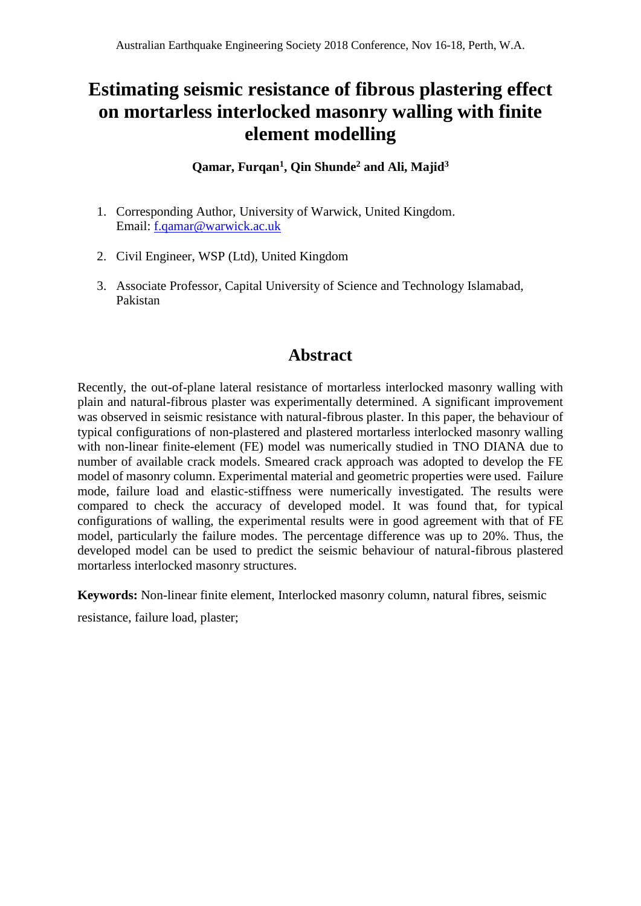# **Estimating seismic resistance of fibrous plastering effect on mortarless interlocked masonry walling with finite element modelling**

**Qamar, Furqan<sup>1</sup> , Qin Shunde<sup>2</sup> and Ali, Majid<sup>3</sup>**

- 1. Corresponding Author, University of Warwick, United Kingdom. Email: [f.qamar@warwick.ac.uk](mailto:f.qamar@warwick.ac.uk)
- 2. Civil Engineer, WSP (Ltd), United Kingdom
- 3. Associate Professor, Capital University of Science and Technology Islamabad, Pakistan

# **Abstract**

Recently, the out-of-plane lateral resistance of mortarless interlocked masonry walling with plain and natural-fibrous plaster was experimentally determined. A significant improvement was observed in seismic resistance with natural-fibrous plaster. In this paper, the behaviour of typical configurations of non-plastered and plastered mortarless interlocked masonry walling with non-linear finite-element (FE) model was numerically studied in TNO DIANA due to number of available crack models. Smeared crack approach was adopted to develop the FE model of masonry column. Experimental material and geometric properties were used. Failure mode, failure load and elastic-stiffness were numerically investigated. The results were compared to check the accuracy of developed model. It was found that, for typical configurations of walling, the experimental results were in good agreement with that of FE model, particularly the failure modes. The percentage difference was up to 20%. Thus, the developed model can be used to predict the seismic behaviour of natural-fibrous plastered mortarless interlocked masonry structures.

**Keywords:** Non-linear finite element, Interlocked masonry column, natural fibres, seismic

resistance, failure load, plaster;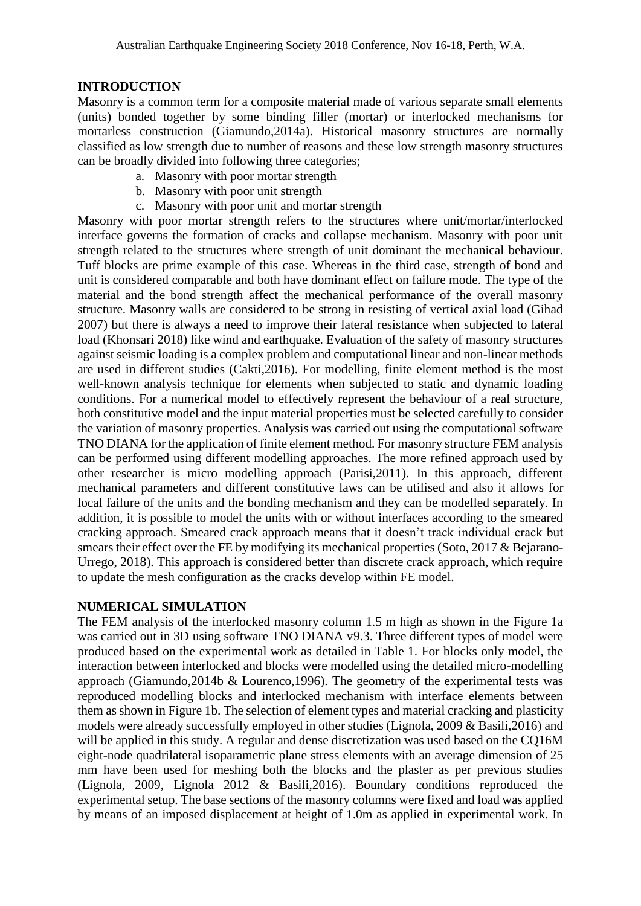### **INTRODUCTION**

Masonry is a common term for a composite material made of various separate small elements (units) bonded together by some binding filler (mortar) or interlocked mechanisms for mortarless construction (Giamundo,2014a). Historical masonry structures are normally classified as low strength due to number of reasons and these low strength masonry structures can be broadly divided into following three categories;

- a. Masonry with poor mortar strength
- b. Masonry with poor unit strength
- c. Masonry with poor unit and mortar strength

Masonry with poor mortar strength refers to the structures where unit/mortar/interlocked interface governs the formation of cracks and collapse mechanism. Masonry with poor unit strength related to the structures where strength of unit dominant the mechanical behaviour. Tuff blocks are prime example of this case. Whereas in the third case, strength of bond and unit is considered comparable and both have dominant effect on failure mode. The type of the material and the bond strength affect the mechanical performance of the overall masonry structure. Masonry walls are considered to be strong in resisting of vertical axial load (Gihad 2007) but there is always a need to improve their lateral resistance when subjected to lateral load (Khonsari 2018) like wind and earthquake. Evaluation of the safety of masonry structures against seismic loading is a complex problem and computational linear and non-linear methods are used in different studies (Cakti,2016). For modelling, finite element method is the most well-known analysis technique for elements when subjected to static and dynamic loading conditions. For a numerical model to effectively represent the behaviour of a real structure, both constitutive model and the input material properties must be selected carefully to consider the variation of masonry properties. Analysis was carried out using the computational software TNO DIANA for the application of finite element method. For masonry structure FEM analysis can be performed using different modelling approaches. The more refined approach used by other researcher is micro modelling approach (Parisi,2011). In this approach, different mechanical parameters and different constitutive laws can be utilised and also it allows for local failure of the units and the bonding mechanism and they can be modelled separately. In addition, it is possible to model the units with or without interfaces according to the smeared cracking approach. Smeared crack approach means that it doesn't track individual crack but smears their effect over the FE by modifying its mechanical properties (Soto, 2017 & Bejarano-Urrego, 2018). This approach is considered better than discrete crack approach, which require to update the mesh configuration as the cracks develop within FE model.

## **NUMERICAL SIMULATION**

The FEM analysis of the interlocked masonry column 1.5 m high as shown in the Figure 1a was carried out in 3D using software TNO DIANA v9.3. Three different types of model were produced based on the experimental work as detailed in Table 1. For blocks only model, the interaction between interlocked and blocks were modelled using the detailed micro-modelling approach (Giamundo,2014b & Lourenco,1996). The geometry of the experimental tests was reproduced modelling blocks and interlocked mechanism with interface elements between them as shown in Figure 1b. The selection of element types and material cracking and plasticity models were already successfully employed in other studies (Lignola, 2009 & Basili,2016) and will be applied in this study. A regular and dense discretization was used based on the CO16M eight-node quadrilateral isoparametric plane stress elements with an average dimension of 25 mm have been used for meshing both the blocks and the plaster as per previous studies (Lignola, 2009, Lignola 2012 & Basili,2016). Boundary conditions reproduced the experimental setup. The base sections of the masonry columns were fixed and load was applied by means of an imposed displacement at height of 1.0m as applied in experimental work. In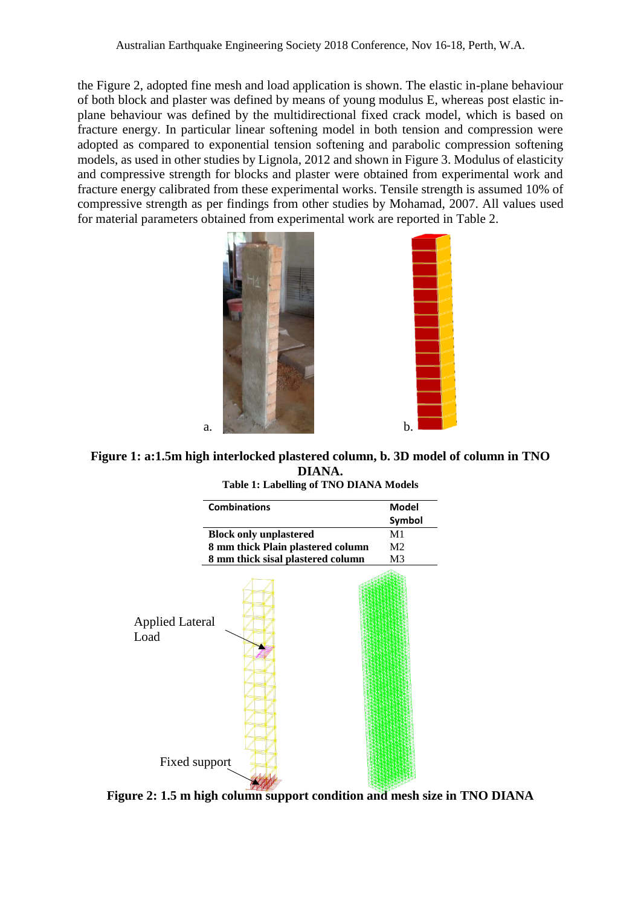the Figure 2, adopted fine mesh and load application is shown. The elastic in-plane behaviour of both block and plaster was defined by means of young modulus E, whereas post elastic inplane behaviour was defined by the multidirectional fixed crack model, which is based on fracture energy. In particular linear softening model in both tension and compression were adopted as compared to exponential tension softening and parabolic compression softening models, as used in other studies by Lignola, 2012 and shown in Figure 3. Modulus of elasticity and compressive strength for blocks and plaster were obtained from experimental work and fracture energy calibrated from these experimental works. Tensile strength is assumed 10% of compressive strength as per findings from other studies by Mohamad, 2007. All values used for material parameters obtained from experimental work are reported in Table 2.



**Figure 1: a:1.5m high interlocked plastered column, b. 3D model of column in TNO DIANA.** 



**Table 1: Labelling of TNO DIANA Models** 

**Figure 2: 1.5 m high column support condition and mesh size in TNO DIANA**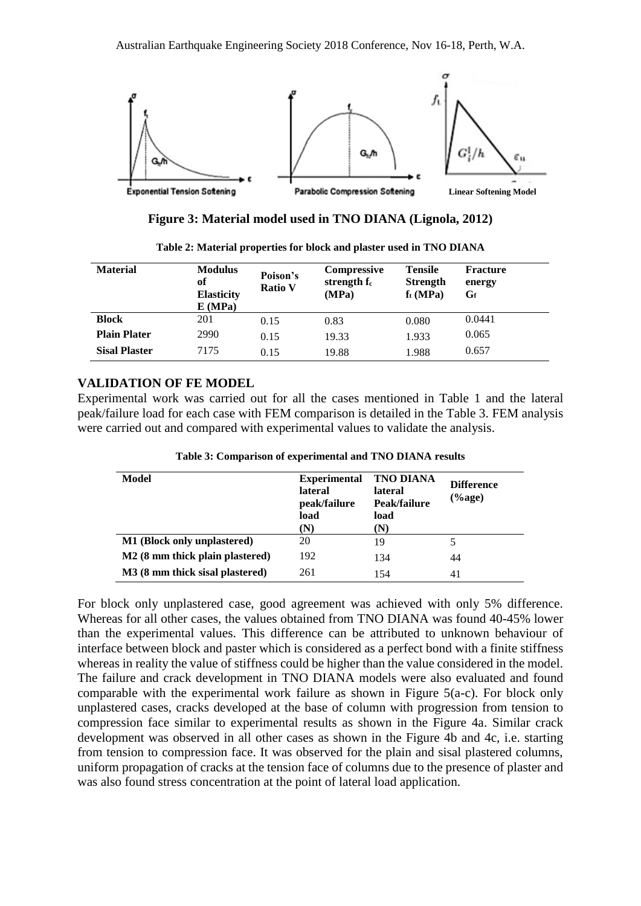

**Figure 3: Material model used in TNO DIANA (Lignola, 2012)**

| <b>Material</b>      | <b>Modulus</b><br>оf<br><b>Elasticity</b><br>E(MPa) | Poison's<br><b>Ratio V</b> | <b>Compressive</b><br>strength f <sub>c</sub><br>(MPa) | <b>Tensile</b><br><b>Strength</b><br>$f_t(MPa)$ | <b>Fracture</b><br>energy<br>Gf |
|----------------------|-----------------------------------------------------|----------------------------|--------------------------------------------------------|-------------------------------------------------|---------------------------------|
| <b>Block</b>         | 201                                                 | 0.15                       | 0.83                                                   | 0.080                                           | 0.0441                          |
| <b>Plain Plater</b>  | 2990                                                | 0.15                       | 19.33                                                  | 1.933                                           | 0.065                           |
| <b>Sisal Plaster</b> | 7175                                                | 0.15                       | 19.88                                                  | 1.988                                           | 0.657                           |

**Table 2: Material properties for block and plaster used in TNO DIANA**

#### **VALIDATION OF FE MODEL**

Experimental work was carried out for all the cases mentioned in Table 1 and the lateral peak/failure load for each case with FEM comparison is detailed in the Table 3. FEM analysis were carried out and compared with experimental values to validate the analysis.

| Model                              | <b>Experimental</b><br><b>lateral</b><br>peak/failure<br>load<br>(N) | <b>TNO DIANA</b><br><b>lateral</b><br>Peak/failure<br>load<br>(N) | <b>Difference</b><br>(%age) |
|------------------------------------|----------------------------------------------------------------------|-------------------------------------------------------------------|-----------------------------|
| <b>M1</b> (Block only unplastered) | 20                                                                   | 19                                                                | 5                           |
| M2 (8 mm thick plain plastered)    | 192                                                                  | 134                                                               | 44                          |
| M3 (8 mm thick sisal plastered)    | 261                                                                  | 154                                                               | 41                          |

**Table 3: Comparison of experimental and TNO DIANA results** 

For block only unplastered case, good agreement was achieved with only 5% difference. Whereas for all other cases, the values obtained from TNO DIANA was found 40-45% lower than the experimental values. This difference can be attributed to unknown behaviour of interface between block and paster which is considered as a perfect bond with a finite stiffness whereas in reality the value of stiffness could be higher than the value considered in the model. The failure and crack development in TNO DIANA models were also evaluated and found comparable with the experimental work failure as shown in Figure 5(a-c). For block only unplastered cases, cracks developed at the base of column with progression from tension to compression face similar to experimental results as shown in the Figure 4a. Similar crack development was observed in all other cases as shown in the Figure 4b and 4c, i.e. starting from tension to compression face. It was observed for the plain and sisal plastered columns, uniform propagation of cracks at the tension face of columns due to the presence of plaster and was also found stress concentration at the point of lateral load application.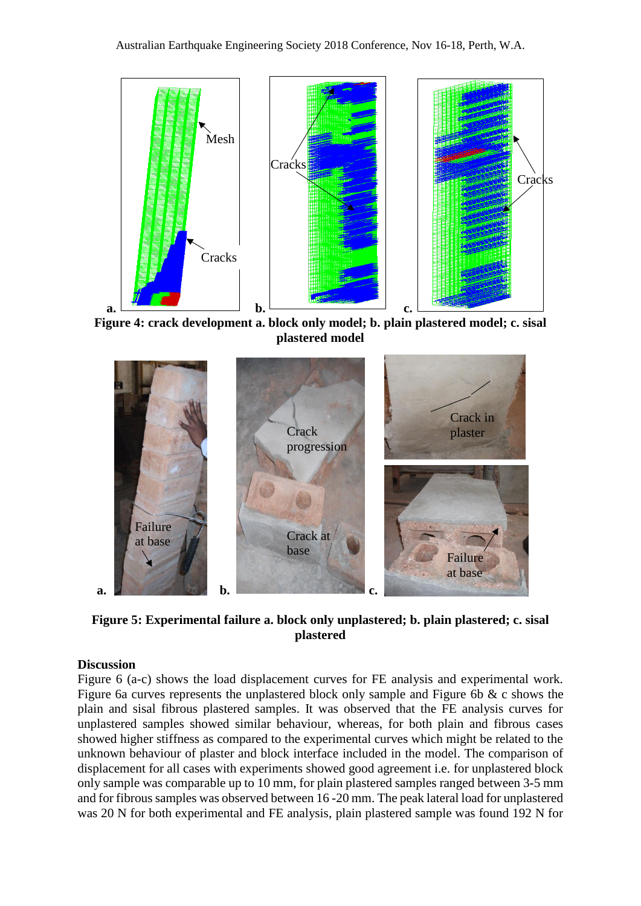

**Figure 4: crack development a. block only model; b. plain plastered model; c. sisal plastered model**



**Figure 5: Experimental failure a. block only unplastered; b. plain plastered; c. sisal plastered**

#### **Discussion**

Figure 6 (a-c) shows the load displacement curves for FE analysis and experimental work. Figure 6a curves represents the unplastered block only sample and Figure 6b & c shows the plain and sisal fibrous plastered samples. It was observed that the FE analysis curves for unplastered samples showed similar behaviour, whereas, for both plain and fibrous cases showed higher stiffness as compared to the experimental curves which might be related to the unknown behaviour of plaster and block interface included in the model. The comparison of displacement for all cases with experiments showed good agreement i.e. for unplastered block only sample was comparable up to 10 mm, for plain plastered samples ranged between 3-5 mm and for fibrous samples was observed between 16 -20 mm. The peak lateral load for unplastered was 20 N for both experimental and FE analysis, plain plastered sample was found 192 N for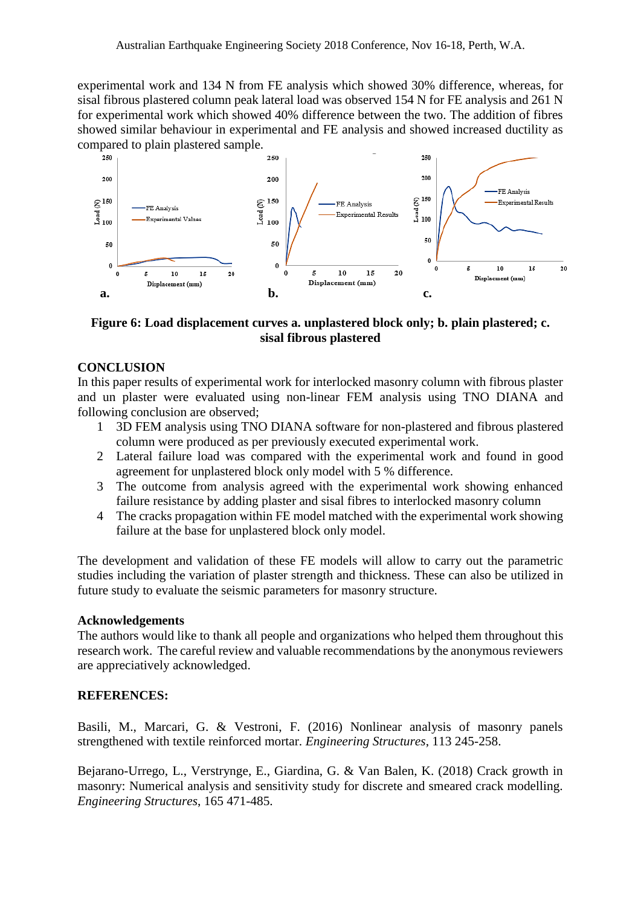experimental work and 134 N from FE analysis which showed 30% difference, whereas, for sisal fibrous plastered column peak lateral load was observed 154 N for FE analysis and 261 N for experimental work which showed 40% difference between the two. The addition of fibres showed similar behaviour in experimental and FE analysis and showed increased ductility as compared to plain plastered sample.



#### **Figure 6: Load displacement curves a. unplastered block only; b. plain plastered; c. sisal fibrous plastered**

#### **CONCLUSION**

In this paper results of experimental work for interlocked masonry column with fibrous plaster and un plaster were evaluated using non-linear FEM analysis using TNO DIANA and following conclusion are observed;

- 1 3D FEM analysis using TNO DIANA software for non-plastered and fibrous plastered column were produced as per previously executed experimental work.
- 2 Lateral failure load was compared with the experimental work and found in good agreement for unplastered block only model with 5 % difference.
- 3 The outcome from analysis agreed with the experimental work showing enhanced failure resistance by adding plaster and sisal fibres to interlocked masonry column
- 4 The cracks propagation within FE model matched with the experimental work showing failure at the base for unplastered block only model.

The development and validation of these FE models will allow to carry out the parametric studies including the variation of plaster strength and thickness. These can also be utilized in future study to evaluate the seismic parameters for masonry structure.

#### **Acknowledgements**

The authors would like to thank all people and organizations who helped them throughout this research work. The careful review and valuable recommendations by the anonymous reviewers are appreciatively acknowledged.

#### **REFERENCES:**

Basili, M., Marcari, G. & Vestroni, F. (2016) Nonlinear analysis of masonry panels strengthened with textile reinforced mortar. *Engineering Structures*, 113 245-258.

Bejarano-Urrego, L., Verstrynge, E., Giardina, G. & Van Balen, K. (2018) Crack growth in masonry: Numerical analysis and sensitivity study for discrete and smeared crack modelling. *Engineering Structures*, 165 471-485.